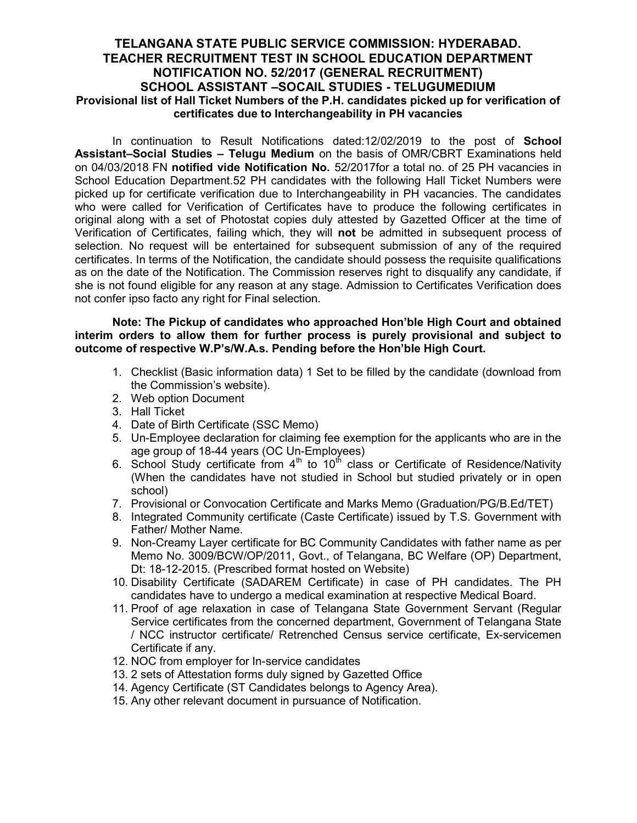## TELANGANA STATE PUBLIC SERVICE COMMISSION: HYDERABAD. TEACHER RECRUITMENT TEST IN SCHOOL EDUCATION DEPARTMENT NOTIFICATION NO. 52/2017 (GENERAL RECRUITMENT) SCHOOL ASSISTANT –SOCAIL STUDIES - TELUGUMEDIUM Provisional list of Hall Ticket Numbers of the P.H. candidates picked up for verification of certificates due to Interchangeability in PH vacancies

In continuation to Result Notifications dated:12/02/2019 to the post of School Assistant–Social Studies – Telugu Medium on the basis of OMR/CBRT Examinations held on 04/03/2018 FN notified vide Notification No. 52/2017for a total no. of 25 PH vacancies in School Education Department.52 PH candidates with the following Hall Ticket Numbers were picked up for certificate verification due to Interchangeability in PH vacancies. The candidates who were called for Verification of Certificates have to produce the following certificates in original along with a set of Photostat copies duly attested by Gazetted Officer at the time of Verification of Certificates, failing which, they will not be admitted in subsequent process of selection. No request will be entertained for subsequent submission of any of the required certificates. In terms of the Notification, the candidate should possess the requisite qualifications as on the date of the Notification. The Commission reserves right to disqualify any candidate, if she is not found eligible for any reason at any stage. Admission to Certificates Verification does not confer ipso facto any right for Final selection.

## Note: The Pickup of candidates who approached Hon'ble High Court and obtained interim orders to allow them for further process is purely provisional and subject to outcome of respective W.P's/W.A.s. Pending before the Hon'ble High Court.

- 1. Checklist (Basic information data) 1 Set to be filled by the candidate (download from the Commission's website).
- 2. Web option Document
- 3. Hall Ticket
- 4. Date of Birth Certificate (SSC Memo)
- 5. Un-Employee declaration for claiming fee exemption for the applicants who are in the age group of 18-44 years (OC Un-Employees)
- 6. School Study certificate from  $4<sup>th</sup>$  to  $10<sup>th</sup>$  class or Certificate of Residence/Nativity (When the candidates have not studied in School but studied privately or in open school)
- 7. Provisional or Convocation Certificate and Marks Memo (Graduation/PG/B.Ed/TET)
- 8. Integrated Community certificate (Caste Certificate) issued by T.S. Government with Father/ Mother Name.
- 9. Non-Creamy Layer certificate for BC Community Candidates with father name as per Memo No. 3009/BCW/OP/2011, Govt., of Telangana, BC Welfare (OP) Department, Dt: 18-12-2015. (Prescribed format hosted on Website)
- 10. Disability Certificate (SADAREM Certificate) in case of PH candidates. The PH candidates have to undergo a medical examination at respective Medical Board.
- 11. Proof of age relaxation in case of Telangana State Government Servant (Regular Service certificates from the concerned department, Government of Telangana State / NCC instructor certificate/ Retrenched Census service certificate, Ex-servicemen Certificate if any.
- 12. NOC from employer for In-service candidates
- 13. 2 sets of Attestation forms duly signed by Gazetted Office
- 14. Agency Certificate (ST Candidates belongs to Agency Area).
- 15. Any other relevant document in pursuance of Notification.